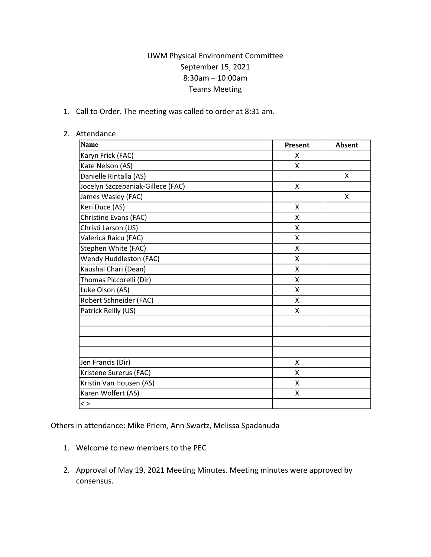## UWM Physical Environment Committee September 15, 2021 8:30am – 10:00am Teams Meeting

1. Call to Order. The meeting was called to order at 8:31 am.

## 2. Attendance

| <b>Name</b>                       | Present | Absent |
|-----------------------------------|---------|--------|
| Karyn Frick (FAC)                 | X       |        |
| Kate Nelson (AS)                  | X       |        |
| Danielle Rintalla (AS)            |         | X      |
| Jocelyn Szczepaniak-Gillece (FAC) | Χ       |        |
| James Wasley (FAC)                |         | X      |
| Keri Duce (AS)                    | X       |        |
| Christine Evans (FAC)             | X       |        |
| Christi Larson (US)               | X       |        |
| Valerica Raicu (FAC)              | X       |        |
| Stephen White (FAC)               | X       |        |
| Wendy Huddleston (FAC)            | X       |        |
| Kaushal Chari (Dean)              | x       |        |
| Thomas Piccorelli (Dir)           | Χ       |        |
| Luke Olson (AS)                   | X       |        |
| Robert Schneider (FAC)            | X       |        |
| Patrick Reilly (US)               | Χ       |        |
|                                   |         |        |
|                                   |         |        |
|                                   |         |        |
|                                   |         |        |
| Jen Francis (Dir)                 | X       |        |
| Kristene Surerus (FAC)            | Χ       |        |
| Kristin Van Housen (AS)           | Χ       |        |
| Karen Wolfert (AS)                | X       |        |
| $\langle$ $>$                     |         |        |

Others in attendance: Mike Priem, Ann Swartz, Melissa Spadanuda

- 1. Welcome to new members to the PEC
- 2. Approval of May 19, 2021 Meeting Minutes. Meeting minutes were approved by consensus.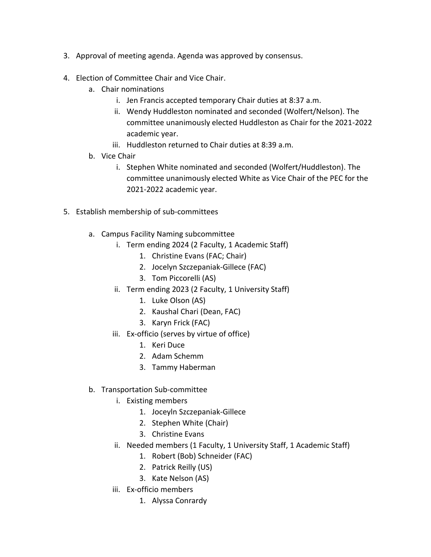- 3. Approval of meeting agenda. Agenda was approved by consensus.
- 4. Election of Committee Chair and Vice Chair.
	- a. Chair nominations
		- i. Jen Francis accepted temporary Chair duties at 8:37 a.m.
		- ii. Wendy Huddleston nominated and seconded (Wolfert/Nelson). The committee unanimously elected Huddleston as Chair for the 2021-2022 academic year.
		- iii. Huddleston returned to Chair duties at 8:39 a.m.
	- b. Vice Chair
		- i. Stephen White nominated and seconded (Wolfert/Huddleston). The committee unanimously elected White as Vice Chair of the PEC for the 2021-2022 academic year.
- 5. Establish membership of sub-committees
	- a. Campus Facility Naming subcommittee
		- i. Term ending 2024 (2 Faculty, 1 Academic Staff)
			- 1. Christine Evans (FAC; Chair)
			- 2. Jocelyn Szczepaniak-Gillece (FAC)
			- 3. Tom Piccorelli (AS)
		- ii. Term ending 2023 (2 Faculty, 1 University Staff)
			- 1. Luke Olson (AS)
			- 2. Kaushal Chari (Dean, FAC)
			- 3. Karyn Frick (FAC)
		- iii. Ex-officio (serves by virtue of office)
			- 1. Keri Duce
			- 2. Adam Schemm
			- 3. Tammy Haberman
	- b. Transportation Sub-committee
		- i. Existing members
			- 1. Joceyln Szczepaniak-Gillece
			- 2. Stephen White (Chair)
			- 3. Christine Evans
		- ii. Needed members (1 Faculty, 1 University Staff, 1 Academic Staff)
			- 1. Robert (Bob) Schneider (FAC)
			- 2. Patrick Reilly (US)
			- 3. Kate Nelson (AS)
		- iii. Ex-officio members
			- 1. Alyssa Conrardy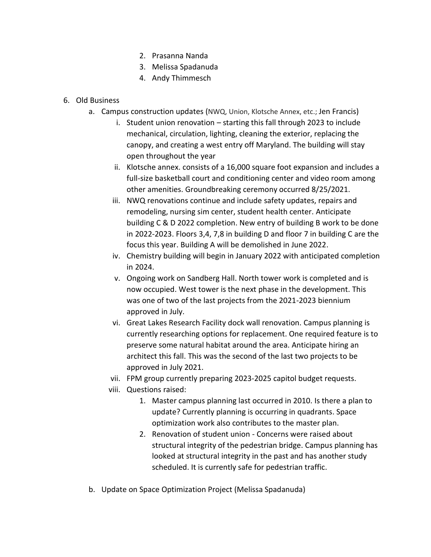- 2. Prasanna Nanda
- 3. Melissa Spadanuda
- 4. Andy Thimmesch
- 6. Old Business
	- a. Campus construction updates (NWQ, Union, Klotsche Annex, etc.; Jen Francis)
		- i. Student union renovation starting this fall through 2023 to include mechanical, circulation, lighting, cleaning the exterior, replacing the canopy, and creating a west entry off Maryland. The building will stay open throughout the year
		- ii. Klotsche annex. consists of a 16,000 square foot expansion and includes a full-size basketball court and conditioning center and video room among other amenities. Groundbreaking ceremony occurred 8/25/2021.
		- iii. NWQ renovations continue and include safety updates, repairs and remodeling, nursing sim center, student health center. Anticipate building C & D 2022 completion. New entry of building B work to be done in 2022-2023. Floors 3,4, 7,8 in building D and floor 7 in building C are the focus this year. Building A will be demolished in June 2022.
		- iv. Chemistry building will begin in January 2022 with anticipated completion in 2024.
		- v. Ongoing work on Sandberg Hall. North tower work is completed and is now occupied. West tower is the next phase in the development. This was one of two of the last projects from the 2021-2023 biennium approved in July.
		- vi. Great Lakes Research Facility dock wall renovation. Campus planning is currently researching options for replacement. One required feature is to preserve some natural habitat around the area. Anticipate hiring an architect this fall. This was the second of the last two projects to be approved in July 2021.
		- vii. FPM group currently preparing 2023-2025 capitol budget requests.
		- viii. Questions raised:
			- 1. Master campus planning last occurred in 2010. Is there a plan to update? Currently planning is occurring in quadrants. Space optimization work also contributes to the master plan.
			- 2. Renovation of student union Concerns were raised about structural integrity of the pedestrian bridge. Campus planning has looked at structural integrity in the past and has another study scheduled. It is currently safe for pedestrian traffic.
	- b. Update on Space Optimization Project (Melissa Spadanuda)